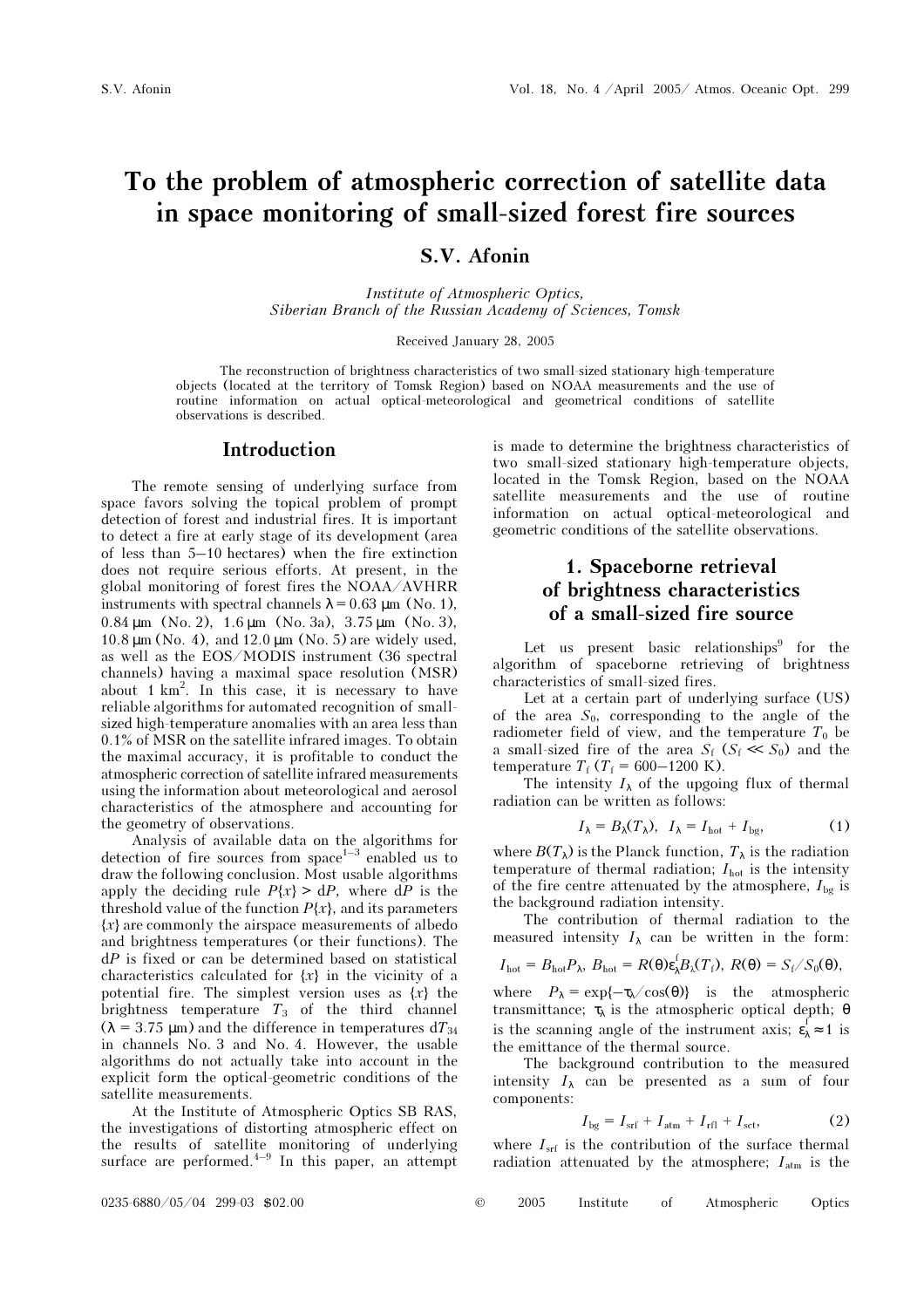# To the problem of atmospheric correction of satellite data in space monitoring of small-sized forest fire sources

### S.V. Afonin

Institute of Atmospheric Optics, Siberian Branch of the Russian Academy of Sciences, Tomsk

Received January 28, 2005

The reconstruction of brightness characteristics of two small-sized stationary high-temperature objects (located at the territory of Tomsk Region) based on NOAA measurements and the use of routine information on actual optical-meteorological and geometrical conditions of satellite observations is described.

#### Introduction

The remote sensing of underlying surface from space favors solving the topical problem of prompt detection of forest and industrial fires. It is important to detect a fire at early stage of its development (area of less than 5–10 hectares) when the fire extinction does not require serious efforts. At present, in the global monitoring of forest fires the NOAA/AVHRR instruments with spectral channels  $\lambda = 0.63$  µm (No. 1), 0.84 µm (No. 2), 1.6 µm (No. 3a), 3.75 µm (No. 3),  $10.8 \,\mathrm{\upmu m}$  (No. 4), and  $12.0 \,\mathrm{\upmu m}$  (No. 5) are widely used, as well as the EOS/MODIS instrument (36 spectral channels) having a maximal space resolution (MSR) about 1 km2 . In this case, it is necessary to have reliable algorithms for automated recognition of smallsized high-temperature anomalies with an area less than 0.1% of MSR on the satellite infrared images. To obtain the maximal accuracy, it is profitable to conduct the atmospheric correction of satellite infrared measurements using the information about meteorological and aerosol characteristics of the atmosphere and accounting for the geometry of observations.

Analysis of available data on the algorithms for detection of fire sources from  $space^{1-3}$  enabled us to draw the following conclusion. Most usable algorithms apply the deciding rule  $P\{x\} > dP$ , where  $dP$  is the threshold value of the function  $P\{x\}$ , and its parameters  ${x}$  are commonly the airspace measurements of albedo and brightness temperatures (or their functions). The  $dP$  is fixed or can be determined based on statistical characteristics calculated for  $\{x\}$  in the vicinity of a potential fire. The simplest version uses as  $\{x\}$  the brightness temperature  $T_3$  of the third channel  $(\lambda = 3.75 \,\mu\text{m})$  and the difference in temperatures dT<sub>34</sub> in channels No. 3 and No. 4. However, the usable algorithms do not actually take into account in the explicit form the optical-geometric conditions of the satellite measurements.

At the Institute of Atmospheric Optics SB RAS, the investigations of distorting atmospheric effect on the results of satellite monitoring of underlying surface are performed. $4-9$  In this paper, an attempt is made to determine the brightness characteristics of two small-sized stationary high-temperature objects, located in the Tomsk Region, based on the NOAA satellite measurements and the use of routine information on actual optical-meteorological and geometric conditions of the satellite observations.

# 1. Spaceborne retrieval of brightness characteristics of a small-sized fire source

Let us present basic relationships $\delta$  for the algorithm of spaceborne retrieving of brightness characteristics of small-sized fires.

Let at a certain part of underlying surface (US) of the area  $S_0$ , corresponding to the angle of the radiometer field of view, and the temperature  $T_0$  be a small-sized fire of the area  $S_f$  ( $S_f \ll S_0$ ) and the temperature  $T_f$  ( $T_f$  = 600–1200 K).

The intensity  $I_{\lambda}$  of the upgoing flux of thermal radiation can be written as follows:

$$
I_{\lambda} = B_{\lambda}(T_{\lambda}), \quad I_{\lambda} = I_{\text{hot}} + I_{\text{bg}}, \tag{1}
$$

where  $B(T_\lambda)$  is the Planck function,  $T_\lambda$  is the radiation temperature of thermal radiation;  $I_{\text{hot}}$  is the intensity of the fire centre attenuated by the atmosphere,  $I_{bg}$  is the background radiation intensity.

The contribution of thermal radiation to the measured intensity  $I_{\lambda}$  can be written in the form:

$$
I_{\rm hot}=B_{\rm hot}P_{\lambda},\ B_{\rm hot}=R(\theta)\varepsilon_{\lambda}^{\rm I}B_{\lambda}(T_{\rm f}),\ R(\theta)=S_{\rm f}/S_0(\theta),
$$

where  $P_{\lambda} = \exp\{-\tau_{\lambda}/\cos(\theta)\}\$  is the atmospheric transmittance;  $τ<sub>λ</sub>$  is the atmospheric optical depth; θ is the scanning angle of the instrument axis;  $\varepsilon_{\lambda} \approx 1$  is the emittance of the thermal source.

The background contribution to the measured intensity  $I_{\lambda}$  can be presented as a sum of four components:

$$
I_{\text{bg}} = I_{\text{srf}} + I_{\text{atm}} + I_{\text{rfl}} + I_{\text{sct}},\tag{2}
$$

where  $I_{\rm srf}$  is the contribution of the surface thermal radiation attenuated by the atmosphere;  $I_{\text{atm}}$  is the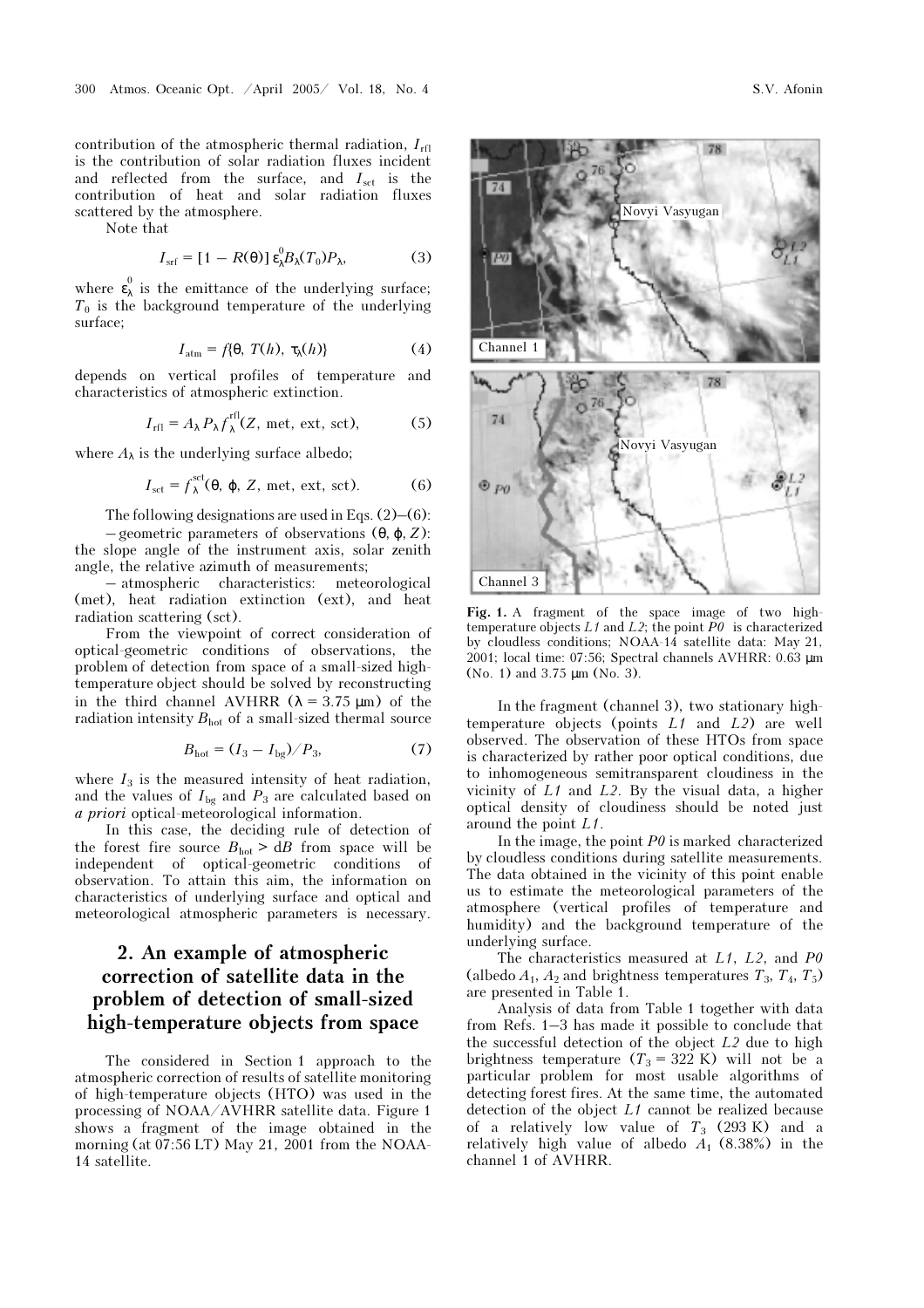contribution of the atmospheric thermal radiation,  $I_{\text{rfl}}$ is the contribution of solar radiation fluxes incident and reflected from the surface, and  $I_{\text{set}}$  is the contribution of heat and solar radiation fluxes scattered by the atmosphere.

Note that

$$
I_{\rm srf} = [1 - R(\theta)] \varepsilon_{\lambda}^{0} B_{\lambda}(T_0) P_{\lambda}, \qquad (3)
$$

where  $\epsilon_{\lambda}^{\circ}$  is the emittance of the underlying surface;  $T_0$  is the background temperature of the underlying surface;

$$
I_{\rm atm}=f\{\theta,\ T(h),\ \tau_{\lambda}(h)\}\tag{4}
$$

depends on vertical profiles of temperature and characteristics of atmospheric extinction.

$$
I_{\rm rfl} = A_{\lambda} P_{\lambda} f_{\lambda}^{\rm rfl}(Z, \text{ met, ext, sct}), \tag{5}
$$

where  $A_{\lambda}$  is the underlying surface albedo;

$$
I_{\rm sct} = f_{\lambda}^{\rm sct}(\theta, \varphi, Z, \text{met, ext, sct}).
$$
 (6)

The following designations are used in Eqs. (2)–(6): – geometric parameters of observations (θ, ϕ, Z):

the slope angle of the instrument axis, solar zenith angle, the relative azimuth of measurements;

– atmospheric characteristics: meteorological (met), heat radiation extinction (ext), and heat radiation scattering (sct).

From the viewpoint of correct consideration of optical-geometric conditions of observations, the problem of detection from space of a small-sized hightemperature object should be solved by reconstructing in the third channel AVHRR  $(\lambda = 3.75 \mu m)$  of the radiation intensity  $B_{\text{hot}}$  of a small-sized thermal source

$$
B_{\text{hot}} = (I_3 - I_{\text{bg}}) / P_3,\tag{7}
$$

where  $I_3$  is the measured intensity of heat radiation, and the values of  $I_{\text{bg}}$  and  $P_3$  are calculated based on a priori optical-meteorological information.

In this case, the deciding rule of detection of the forest fire source  $B_{hot} > dB$  from space will be independent of optical-geometric conditions of observation. To attain this aim, the information on characteristics of underlying surface and optical and meteorological atmospheric parameters is necessary.

# 2. An example of atmospheric correction of satellite data in the problem of detection of small-sized high-temperature objects from space

The considered in Section 1 approach to the atmospheric correction of results of satellite monitoring of high-temperature objects (HTO) was used in the processing of NOAA/AVHRR satellite data. Figure 1 shows a fragment of the image obtained in the morning (at 07:56 LT) May 21, 2001 from the NOAA-14 satellite.

Fig. 1. A fragment of the space image of two hightemperature objects  $L1$  and  $L2$ ; the point  $P0$  is characterized by cloudless conditions; NOAA-14 satellite data: May 21, 2001; local time: 07:56; Spectral channels AVHRR: 0.63 µm (No. 1) and 3.75 µm (No. 3).

In the fragment (channel 3), two stationary hightemperature objects (points  $L1$  and  $L2$ ) are well observed. The observation of these HTOs from space is characterized by rather poor optical conditions, due to inhomogeneous semitransparent cloudiness in the vicinity of  $L1$  and  $L2$ . By the visual data, a higher optical density of cloudiness should be noted just around the point L1.

In the image, the point  $P\theta$  is marked characterized by cloudless conditions during satellite measurements. The data obtained in the vicinity of this point enable us to estimate the meteorological parameters of the atmosphere (vertical profiles of temperature and humidity) and the background temperature of the underlying surface.

The characteristics measured at  $L1$ ,  $L2$ , and  $P0$ (albedo  $A_1$ ,  $A_2$  and brightness temperatures  $T_3$ ,  $T_4$ ,  $T_5$ ) are presented in Table 1.

Analysis of data from Table 1 together with data from Refs. 1–3 has made it possible to conclude that the successful detection of the object  $L2$  due to high brightness temperature  $(T_3 = 322 \text{ K})$  will not be a particular problem for most usable algorithms of detecting forest fires. At the same time, the automated detection of the object L1 cannot be realized because of a relatively low value of  $T_3$  (293 K) and a relatively high value of albedo  $A_1$  (8.38%) in the channel 1 of AVHRR.